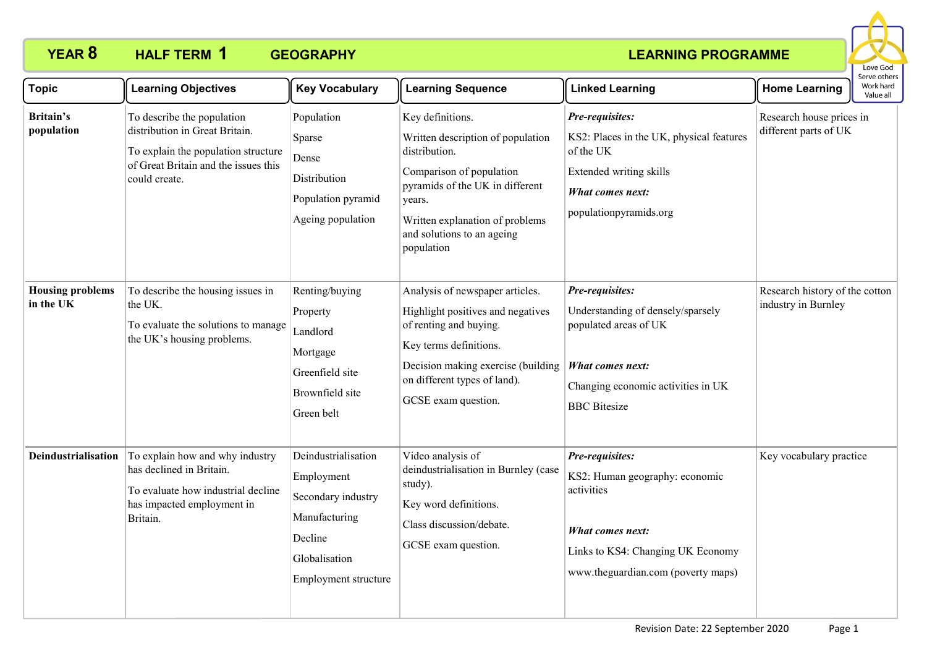

| <b>Topic</b>                         | <b>Learning Objectives</b>                                                                                                                                   | <b>Key Vocabulary</b>                                                                                                        | <b>Learning Sequence</b>                                                                                                                                                                                                       | <b>Linked Learning</b>                                                                                                                                                | <b>Home Learning</b>                                  | Serve others<br>Work hard<br>Value all |
|--------------------------------------|--------------------------------------------------------------------------------------------------------------------------------------------------------------|------------------------------------------------------------------------------------------------------------------------------|--------------------------------------------------------------------------------------------------------------------------------------------------------------------------------------------------------------------------------|-----------------------------------------------------------------------------------------------------------------------------------------------------------------------|-------------------------------------------------------|----------------------------------------|
| Britain's<br>population              | To describe the population<br>distribution in Great Britain.<br>To explain the population structure<br>of Great Britain and the issues this<br>could create. | Population<br>Sparse<br>Dense<br>Distribution<br>Population pyramid<br>Ageing population                                     | Key definitions.<br>Written description of population<br>distribution.<br>Comparison of population<br>pyramids of the UK in different<br>years.<br>Written explanation of problems<br>and solutions to an ageing<br>population | Pre-requisites:<br>KS2: Places in the UK, physical features<br>of the UK<br>Extended writing skills<br>What comes next:<br>populationpyramids.org                     | Research house prices in<br>different parts of UK     |                                        |
| <b>Housing problems</b><br>in the UK | To describe the housing issues in<br>the UK.<br>To evaluate the solutions to manage<br>the UK's housing problems.                                            | Renting/buying<br>Property<br>Landlord<br>Mortgage<br>Greenfield site<br>Brownfield site<br>Green belt                       | Analysis of newspaper articles.<br>Highlight positives and negatives<br>of renting and buying.<br>Key terms definitions.<br>Decision making exercise (building<br>on different types of land).<br>GCSE exam question.          | Pre-requisites:<br>Understanding of densely/sparsely<br>populated areas of UK<br><b>What comes next:</b><br>Changing economic activities in UK<br><b>BBC</b> Bitesize | Research history of the cotton<br>industry in Burnley |                                        |
| Deindustrialisation                  | To explain how and why industry<br>has declined in Britain.<br>To evaluate how industrial decline<br>has impacted employment in<br>Britain.                  | Deindustrialisation<br>Employment<br>Secondary industry<br>Manufacturing<br>Decline<br>Globalisation<br>Employment structure | Video analysis of<br>deindustrialisation in Burnley (case<br>study).<br>Key word definitions.<br>Class discussion/debate.<br>GCSE exam question.                                                                               | Pre-requisites:<br>KS2: Human geography: economic<br>activities<br>What comes next:<br>Links to KS4: Changing UK Economy<br>www.theguardian.com (poverty maps)        | Key vocabulary practice                               |                                        |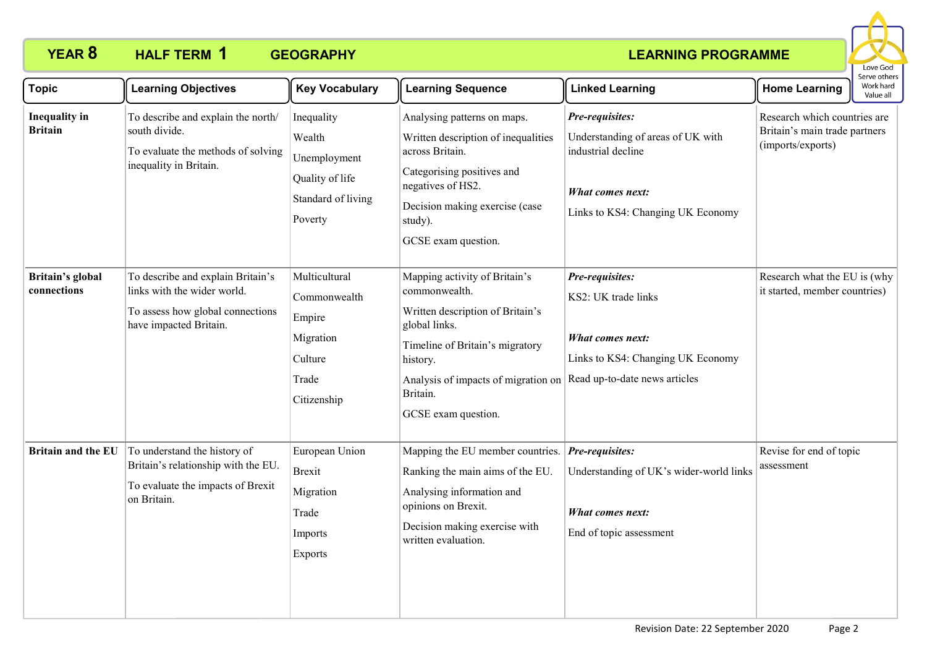

| <b>Topic</b>                           | <b>Learning Objectives</b>                                                                                                     | <b>Key Vocabulary</b>                                                                    | <b>Learning Sequence</b>                                                                                                                                                                                                     | <b>Linked Learning</b>                                                                                                              | <b>Home Learning</b>                                                               | : וסנו וכו<br>Work hard<br>Value all |
|----------------------------------------|--------------------------------------------------------------------------------------------------------------------------------|------------------------------------------------------------------------------------------|------------------------------------------------------------------------------------------------------------------------------------------------------------------------------------------------------------------------------|-------------------------------------------------------------------------------------------------------------------------------------|------------------------------------------------------------------------------------|--------------------------------------|
| <b>Inequality</b> in<br><b>Britain</b> | To describe and explain the north/<br>south divide.<br>To evaluate the methods of solving<br>inequality in Britain.            | Inequality<br>Wealth<br>Unemployment<br>Quality of life<br>Standard of living<br>Poverty | Analysing patterns on maps.<br>Written description of inequalities<br>across Britain.<br>Categorising positives and<br>negatives of HS2.<br>Decision making exercise (case<br>study).<br>GCSE exam question.                 | Pre-requisites:<br>Understanding of areas of UK with<br>industrial decline<br>What comes next:<br>Links to KS4: Changing UK Economy | Research which countries are<br>Britain's main trade partners<br>(imports/exports) |                                      |
| Britain's global<br>connections        | To describe and explain Britain's<br>links with the wider world.<br>To assess how global connections<br>have impacted Britain. | Multicultural<br>Commonwealth<br>Empire<br>Migration<br>Culture<br>Trade<br>Citizenship  | Mapping activity of Britain's<br>commonwealth.<br>Written description of Britain's<br>global links.<br>Timeline of Britain's migratory<br>history.<br>Analysis of impacts of migration on<br>Britain.<br>GCSE exam question. | Pre-requisites:<br>KS2: UK trade links<br>What comes next:<br>Links to KS4: Changing UK Economy<br>Read up-to-date news articles    | Research what the EU is (why<br>it started, member countries)                      |                                      |
| <b>Britain and the EU</b>              | To understand the history of<br>Britain's relationship with the EU.<br>To evaluate the impacts of Brexit<br>on Britain.        | European Union<br><b>Brexit</b><br>Migration<br>Trade<br>Imports<br><b>Exports</b>       | Mapping the EU member countries.<br>Ranking the main aims of the EU.<br>Analysing information and<br>opinions on Brexit.<br>Decision making exercise with<br>written evaluation.                                             | Pre-requisites:<br>Understanding of UK's wider-world links<br>What comes next:<br>End of topic assessment                           | Revise for end of topic<br>assessment                                              |                                      |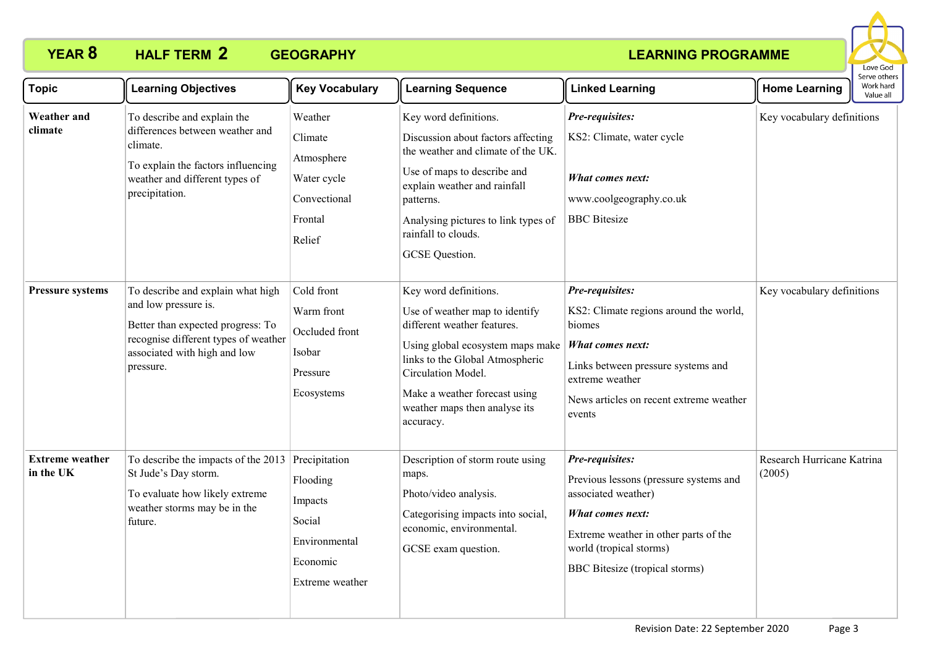

| <b>Topic</b>                        | <b>Learning Objectives</b>                                                                                                                                                          | <b>Key Vocabulary</b>                                                                | <b>Learning Sequence</b>                                                                                                                                                                                                                                           | <b>Linked Learning</b>                                                                                                                                                                                       | <b>Home Learning</b>                 | בו אב חוובו א<br>Work hard<br>Value all |
|-------------------------------------|-------------------------------------------------------------------------------------------------------------------------------------------------------------------------------------|--------------------------------------------------------------------------------------|--------------------------------------------------------------------------------------------------------------------------------------------------------------------------------------------------------------------------------------------------------------------|--------------------------------------------------------------------------------------------------------------------------------------------------------------------------------------------------------------|--------------------------------------|-----------------------------------------|
| <b>Weather</b> and<br>climate       | To describe and explain the<br>differences between weather and<br>climate.<br>To explain the factors influencing<br>weather and different types of<br>precipitation.                | Weather<br>Climate<br>Atmosphere<br>Water cycle<br>Convectional<br>Frontal<br>Relief | Key word definitions.<br>Discussion about factors affecting<br>the weather and climate of the UK.<br>Use of maps to describe and<br>explain weather and rainfall<br>patterns.<br>Analysing pictures to link types of<br>rainfall to clouds.<br>GCSE Question.      | Pre-requisites:<br>KS2: Climate, water cycle<br>What comes next:<br>www.coolgeography.co.uk<br><b>BBC</b> Bitesize                                                                                           | Key vocabulary definitions           |                                         |
| <b>Pressure systems</b>             | To describe and explain what high<br>and low pressure is.<br>Better than expected progress: To<br>recognise different types of weather<br>associated with high and low<br>pressure. | Cold front<br>Warm front<br>Occluded front<br>Isobar<br>Pressure<br>Ecosystems       | Key word definitions.<br>Use of weather map to identify<br>different weather features.<br>Using global ecosystem maps make<br>links to the Global Atmospheric<br>Circulation Model.<br>Make a weather forecast using<br>weather maps then analyse its<br>accuracy. | Pre-requisites:<br>KS2: Climate regions around the world,<br>biomes<br><b>What comes next:</b><br>Links between pressure systems and<br>extreme weather<br>News articles on recent extreme weather<br>events | Key vocabulary definitions           |                                         |
| <b>Extreme</b> weather<br>in the UK | To describe the impacts of the 2013 Precipitation<br>St Jude's Day storm.<br>To evaluate how likely extreme<br>weather storms may be in the<br>future.                              | Flooding<br>Impacts<br>Social<br>Environmental<br>Economic<br>Extreme weather        | Description of storm route using<br>maps.<br>Photo/video analysis.<br>Categorising impacts into social,<br>economic, environmental.<br>GCSE exam question.                                                                                                         | Pre-requisites:<br>Previous lessons (pressure systems and<br>associated weather)<br>What comes next:<br>Extreme weather in other parts of the<br>world (tropical storms)<br>BBC Bitesize (tropical storms)   | Research Hurricane Katrina<br>(2005) |                                         |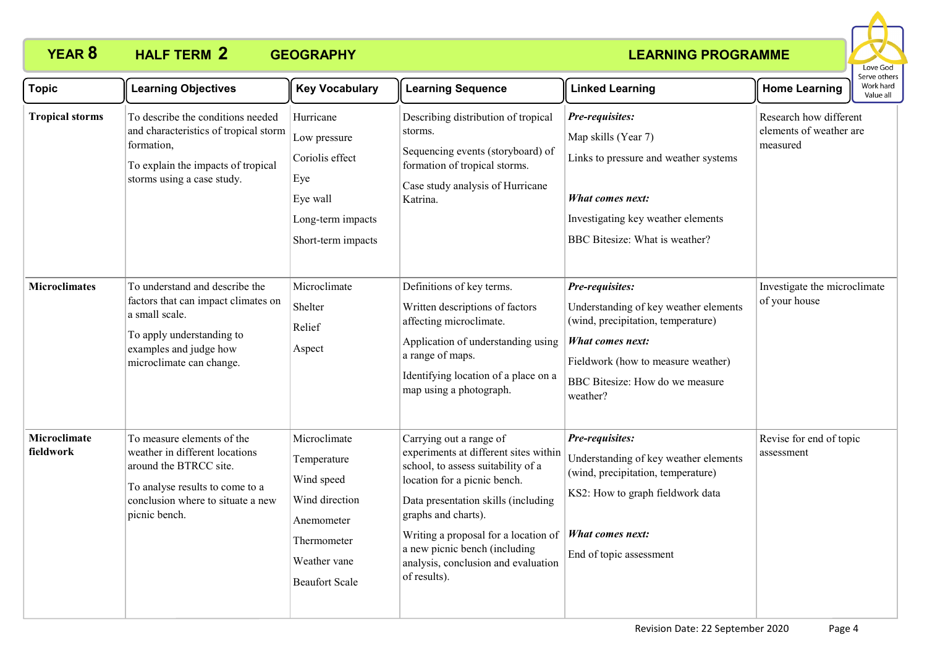

| <b>Topic</b>                     | <b>Learning Objectives</b>                                                                                                                                                      | <b>Key Vocabulary</b>                                                                                                             | <b>Learning Sequence</b>                                                                                                                                                                                                                                                                                                             | <b>Linked Learning</b>                                                                                                                                                                                         | <b>Home Learning</b>                                          | serve others<br>Work hard<br>Value all |
|----------------------------------|---------------------------------------------------------------------------------------------------------------------------------------------------------------------------------|-----------------------------------------------------------------------------------------------------------------------------------|--------------------------------------------------------------------------------------------------------------------------------------------------------------------------------------------------------------------------------------------------------------------------------------------------------------------------------------|----------------------------------------------------------------------------------------------------------------------------------------------------------------------------------------------------------------|---------------------------------------------------------------|----------------------------------------|
| <b>Tropical storms</b>           | To describe the conditions needed<br>and characteristics of tropical storm<br>formation,<br>To explain the impacts of tropical<br>storms using a case study.                    | Hurricane<br>Low pressure<br>Coriolis effect<br>Eye<br>Eye wall<br>Long-term impacts<br>Short-term impacts                        | Describing distribution of tropical<br>storms.<br>Sequencing events (storyboard) of<br>formation of tropical storms.<br>Case study analysis of Hurricane<br>Katrina.                                                                                                                                                                 | Pre-requisites:<br>Map skills (Year 7)<br>Links to pressure and weather systems<br>What comes next:<br>Investigating key weather elements<br>BBC Bitesize: What is weather?                                    | Research how different<br>elements of weather are<br>measured |                                        |
| <b>Microclimates</b>             | To understand and describe the<br>factors that can impact climates on<br>a small scale.<br>To apply understanding to<br>examples and judge how<br>microclimate can change.      | Microclimate<br>Shelter<br>Relief<br>Aspect                                                                                       | Definitions of key terms.<br>Written descriptions of factors<br>affecting microclimate.<br>Application of understanding using<br>a range of maps.<br>Identifying location of a place on a<br>map using a photograph.                                                                                                                 | Pre-requisites:<br>Understanding of key weather elements<br>(wind, precipitation, temperature)<br><b>What comes next:</b><br>Fieldwork (how to measure weather)<br>BBC Bitesize: How do we measure<br>weather? | Investigate the microclimate<br>of your house                 |                                        |
| <b>Microclimate</b><br>fieldwork | To measure elements of the<br>weather in different locations<br>around the BTRCC site.<br>To analyse results to come to a<br>conclusion where to situate a new<br>picnic bench. | Microclimate<br>Temperature<br>Wind speed<br>Wind direction<br>Anemometer<br>Thermometer<br>Weather vane<br><b>Beaufort Scale</b> | Carrying out a range of<br>experiments at different sites within<br>school, to assess suitability of a<br>location for a picnic bench.<br>Data presentation skills (including<br>graphs and charts).<br>Writing a proposal for a location of<br>a new picnic bench (including<br>analysis, conclusion and evaluation<br>of results). | Pre-requisites:<br>Understanding of key weather elements<br>(wind, precipitation, temperature)<br>KS2: How to graph fieldwork data<br><b>What comes next:</b><br>End of topic assessment                       | Revise for end of topic<br>assessment                         |                                        |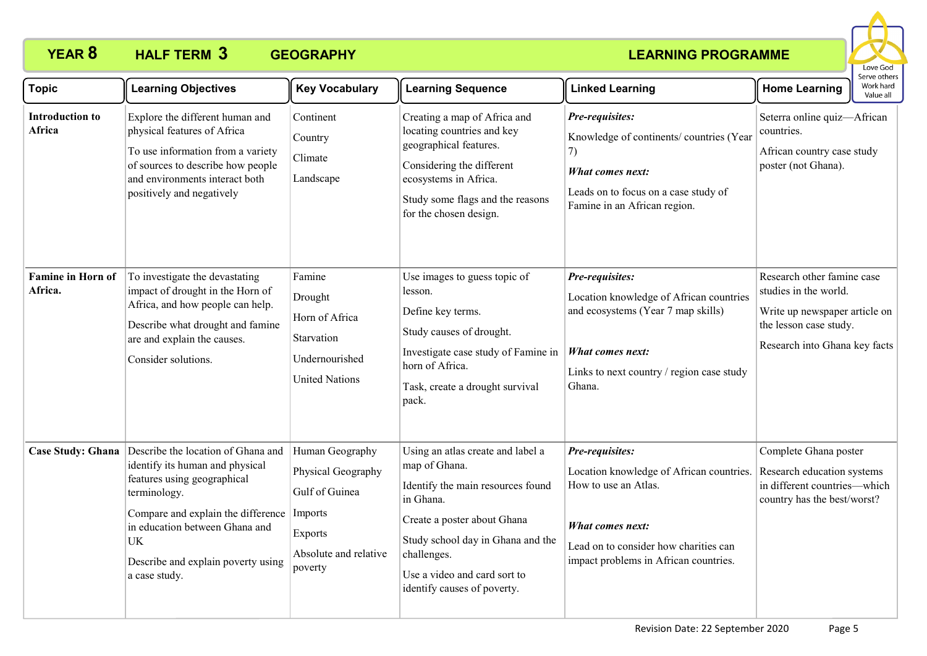

| <b>Topic</b>                        | <b>Learning Objectives</b>                                                                                                                                                                                                                                               | <b>Key Vocabulary</b>                                                                                  | <b>Learning Sequence</b>                                                                                                                                                                                                                               | <b>Linked Learning</b>                                                                                                                                                                    | יכו עכ טנווכו.<br>Work hard<br><b>Home Learning</b><br>Value all                                                                                |
|-------------------------------------|--------------------------------------------------------------------------------------------------------------------------------------------------------------------------------------------------------------------------------------------------------------------------|--------------------------------------------------------------------------------------------------------|--------------------------------------------------------------------------------------------------------------------------------------------------------------------------------------------------------------------------------------------------------|-------------------------------------------------------------------------------------------------------------------------------------------------------------------------------------------|-------------------------------------------------------------------------------------------------------------------------------------------------|
| <b>Introduction to</b><br>Africa    | Explore the different human and<br>physical features of Africa<br>To use information from a variety<br>of sources to describe how people<br>and environments interact both<br>positively and negatively                                                                  | Continent<br>Country<br>Climate<br>Landscape                                                           | Creating a map of Africa and<br>locating countries and key<br>geographical features.<br>Considering the different<br>ecosystems in Africa.<br>Study some flags and the reasons<br>for the chosen design.                                               | Pre-requisites:<br>Knowledge of continents/ countries (Year<br>7)<br>What comes next:<br>Leads on to focus on a case study of<br>Famine in an African region.                             | Seterra online quiz-African<br>countries.<br>African country case study<br>poster (not Ghana).                                                  |
| <b>Famine in Horn of</b><br>Africa. | To investigate the devastating<br>impact of drought in the Horn of<br>Africa, and how people can help.<br>Describe what drought and famine<br>are and explain the causes.<br>Consider solutions.                                                                         | Famine<br>Drought<br>Horn of Africa<br>Starvation<br>Undernourished<br><b>United Nations</b>           | Use images to guess topic of<br>lesson.<br>Define key terms.<br>Study causes of drought.<br>Investigate case study of Famine in<br>horn of Africa.<br>Task, create a drought survival<br>pack.                                                         | Pre-requisites:<br>Location knowledge of African countries<br>and ecosystems (Year 7 map skills)<br><b>What comes next:</b><br>Links to next country / region case study<br>Ghana.        | Research other famine case<br>studies in the world.<br>Write up newspaper article on<br>the lesson case study.<br>Research into Ghana key facts |
| <b>Case Study: Ghana</b>            | Describe the location of Ghana and<br>identify its human and physical<br>features using geographical<br>terminology.<br>Compare and explain the difference Imports<br>in education between Ghana and<br><b>UK</b><br>Describe and explain poverty using<br>a case study. | Human Geography<br>Physical Geography<br>Gulf of Guinea<br>Exports<br>Absolute and relative<br>poverty | Using an atlas create and label a<br>map of Ghana.<br>Identify the main resources found<br>in Ghana.<br>Create a poster about Ghana<br>Study school day in Ghana and the<br>challenges.<br>Use a video and card sort to<br>identify causes of poverty. | Pre-requisites:<br>Location knowledge of African countries.<br>How to use an Atlas.<br>What comes next:<br>Lead on to consider how charities can<br>impact problems in African countries. | Complete Ghana poster<br>Research education systems<br>in different countries—which<br>country has the best/worst?                              |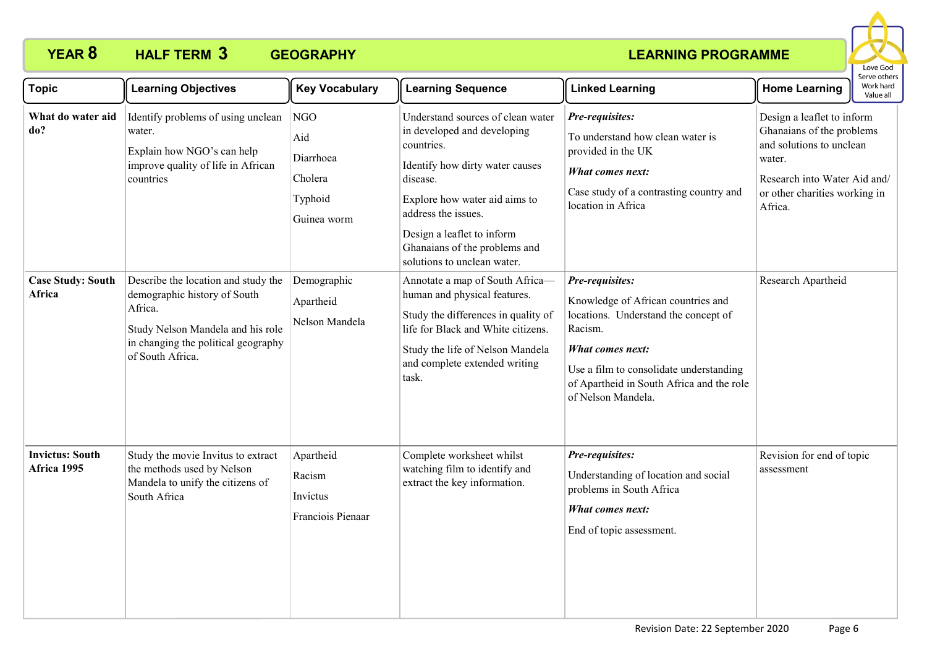

| <b>Topic</b>                          | <b>Learning Objectives</b>                                                                                                                                                     | <b>Key Vocabulary</b>                                        | <b>Learning Sequence</b>                                                                                                                                                                                                                                                            | <b>Linked Learning</b>                                                                                                                                                                                                                            | <b>Home Learning</b>                                                                                                                                                      | וסטוס איז סכו<br>Work hard<br>Value all |
|---------------------------------------|--------------------------------------------------------------------------------------------------------------------------------------------------------------------------------|--------------------------------------------------------------|-------------------------------------------------------------------------------------------------------------------------------------------------------------------------------------------------------------------------------------------------------------------------------------|---------------------------------------------------------------------------------------------------------------------------------------------------------------------------------------------------------------------------------------------------|---------------------------------------------------------------------------------------------------------------------------------------------------------------------------|-----------------------------------------|
| What do water aid<br>do?              | Identify problems of using unclean<br>water.<br>Explain how NGO's can help<br>improve quality of life in African<br>countries                                                  | NGO<br>Aid<br>Diarrhoea<br>Cholera<br>Typhoid<br>Guinea worm | Understand sources of clean water<br>in developed and developing<br>countries.<br>Identify how dirty water causes<br>disease.<br>Explore how water aid aims to<br>address the issues.<br>Design a leaflet to inform<br>Ghanaians of the problems and<br>solutions to unclean water. | Pre-requisites:<br>To understand how clean water is<br>provided in the UK<br><b>What comes next:</b><br>Case study of a contrasting country and<br>location in Africa                                                                             | Design a leaflet to inform<br>Ghanaians of the problems<br>and solutions to unclean<br>water.<br>Research into Water Aid and/<br>or other charities working in<br>Africa. |                                         |
| <b>Case Study: South</b><br>Africa    | Describe the location and study the<br>demographic history of South<br>Africa.<br>Study Nelson Mandela and his role<br>in changing the political geography<br>of South Africa. | Demographic<br>Apartheid<br>Nelson Mandela                   | Annotate a map of South Africa-<br>human and physical features.<br>Study the differences in quality of<br>life for Black and White citizens.<br>Study the life of Nelson Mandela<br>and complete extended writing<br>task.                                                          | Pre-requisites:<br>Knowledge of African countries and<br>locations. Understand the concept of<br>Racism.<br><b>What comes next:</b><br>Use a film to consolidate understanding<br>of Apartheid in South Africa and the role<br>of Nelson Mandela. | Research Apartheid                                                                                                                                                        |                                         |
| <b>Invictus: South</b><br>Africa 1995 | Study the movie Invitus to extract<br>the methods used by Nelson<br>Mandela to unify the citizens of<br>South Africa                                                           | Apartheid<br>Racism<br>Invictus<br>Franciois Pienaar         | Complete worksheet whilst<br>watching film to identify and<br>extract the key information.                                                                                                                                                                                          | Pre-requisites:<br>Understanding of location and social<br>problems in South Africa<br>What comes next:<br>End of topic assessment.                                                                                                               | Revision for end of topic<br>assessment                                                                                                                                   |                                         |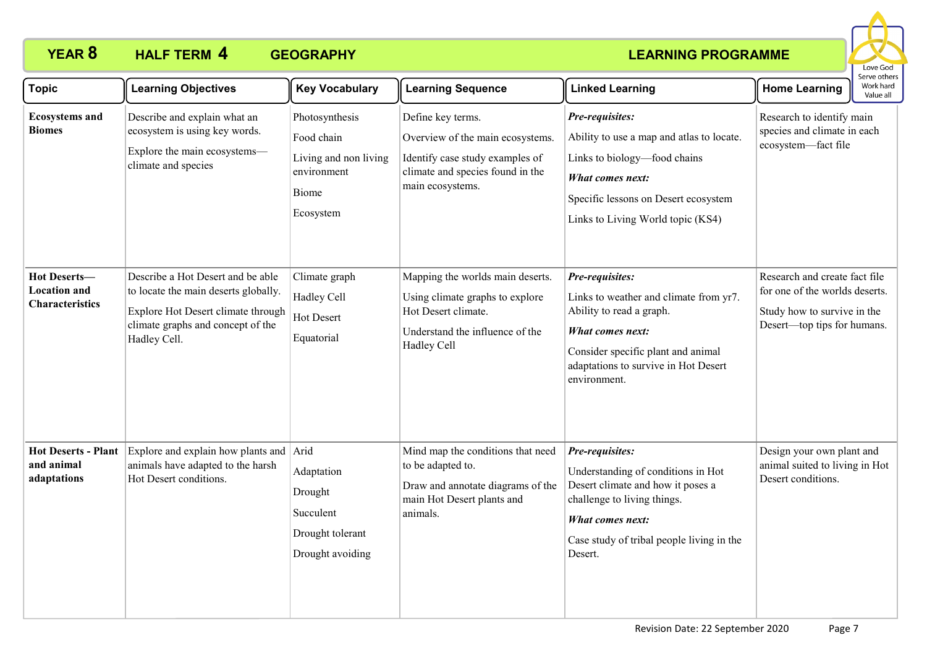

| <b>Topic</b>                                                  | <b>Learning Objectives</b>                                                                                                                                           | <b>Key Vocabulary</b>                                                                      | <b>Learning Sequence</b>                                                                                                                         | <b>Linked Learning</b>                                                                                                                                                                                         | <b>Home Learning</b>                                                                                                          | Work hard<br>Value all |
|---------------------------------------------------------------|----------------------------------------------------------------------------------------------------------------------------------------------------------------------|--------------------------------------------------------------------------------------------|--------------------------------------------------------------------------------------------------------------------------------------------------|----------------------------------------------------------------------------------------------------------------------------------------------------------------------------------------------------------------|-------------------------------------------------------------------------------------------------------------------------------|------------------------|
| <b>Ecosystems and</b><br><b>Biomes</b>                        | Describe and explain what an<br>ecosystem is using key words.<br>Explore the main ecosystems-<br>climate and species                                                 | Photosynthesis<br>Food chain<br>Living and non living<br>environment<br>Biome<br>Ecosystem | Define key terms.<br>Overview of the main ecosystems.<br>Identify case study examples of<br>climate and species found in the<br>main ecosystems. | Pre-requisites:<br>Ability to use a map and atlas to locate.<br>Links to biology-food chains<br>What comes next:<br>Specific lessons on Desert ecosystem<br>Links to Living World topic (KS4)                  | Research to identify main<br>species and climate in each<br>ecosystem-fact file                                               |                        |
| Hot Deserts-<br><b>Location and</b><br><b>Characteristics</b> | Describe a Hot Desert and be able<br>to locate the main deserts globally.<br>Explore Hot Desert climate through<br>climate graphs and concept of the<br>Hadley Cell. | Climate graph<br>Hadley Cell<br>Hot Desert<br>Equatorial                                   | Mapping the worlds main deserts.<br>Using climate graphs to explore<br>Hot Desert climate.<br>Understand the influence of the<br>Hadley Cell     | Pre-requisites:<br>Links to weather and climate from yr7.<br>Ability to read a graph.<br><b>What comes next:</b><br>Consider specific plant and animal<br>adaptations to survive in Hot Desert<br>environment. | Research and create fact file<br>for one of the worlds deserts.<br>Study how to survive in the<br>Desert-top tips for humans. |                        |
| <b>Hot Deserts - Plant</b><br>and animal<br>adaptations       | Explore and explain how plants and Arid<br>animals have adapted to the harsh<br>Hot Desert conditions.                                                               | Adaptation<br>Drought<br>Succulent<br>Drought tolerant<br>Drought avoiding                 | Mind map the conditions that need<br>to be adapted to.<br>Draw and annotate diagrams of the<br>main Hot Desert plants and<br>animals.            | Pre-requisites:<br>Understanding of conditions in Hot<br>Desert climate and how it poses a<br>challenge to living things.<br>What comes next:<br>Case study of tribal people living in the<br>Desert.          | Design your own plant and<br>animal suited to living in Hot<br>Desert conditions.                                             |                        |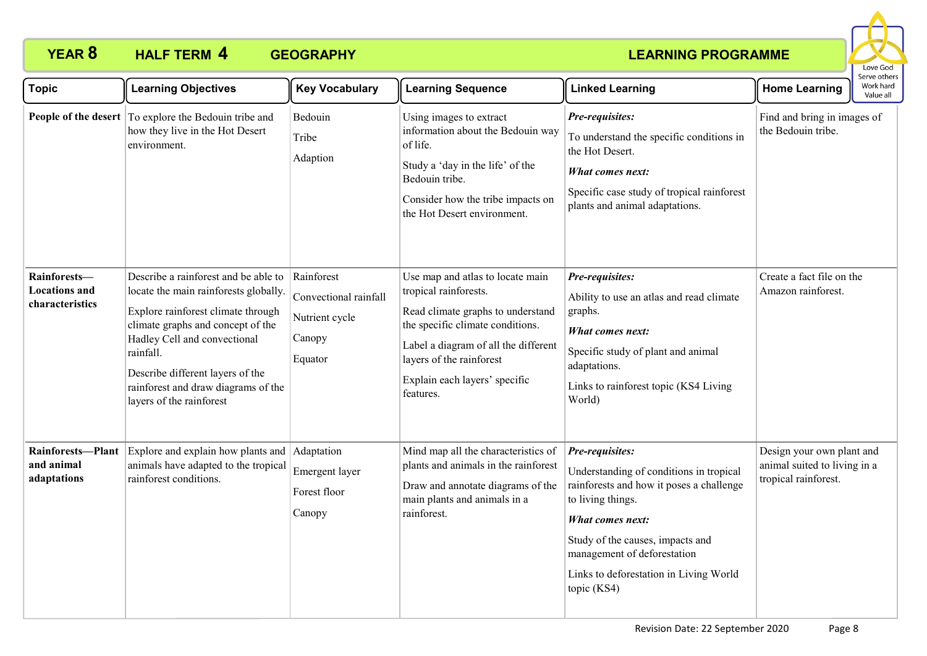

| <b>Topic</b>                                            | <b>Learning Objectives</b>                                                                                                                                                                                                                                                                                   | <b>Key Vocabulary</b>                                                      | <b>Learning Sequence</b>                                                                                                                                                                                                                             | <b>Linked Learning</b>                                                                                                                                                                                                                                                             | <b>Home Learning</b>                                                              | Serve others<br>Work hard<br>Value all |
|---------------------------------------------------------|--------------------------------------------------------------------------------------------------------------------------------------------------------------------------------------------------------------------------------------------------------------------------------------------------------------|----------------------------------------------------------------------------|------------------------------------------------------------------------------------------------------------------------------------------------------------------------------------------------------------------------------------------------------|------------------------------------------------------------------------------------------------------------------------------------------------------------------------------------------------------------------------------------------------------------------------------------|-----------------------------------------------------------------------------------|----------------------------------------|
|                                                         | <b>People of the desert</b> To explore the Bedouin tribe and<br>how they live in the Hot Desert<br>environment.                                                                                                                                                                                              | Bedouin<br>Tribe<br>Adaption                                               | Using images to extract<br>information about the Bedouin way<br>of life.<br>Study a 'day in the life' of the<br>Bedouin tribe.<br>Consider how the tribe impacts on<br>the Hot Desert environment.                                                   | Pre-requisites:<br>To understand the specific conditions in<br>the Hot Desert.<br>What comes next:<br>Specific case study of tropical rainforest<br>plants and animal adaptations.                                                                                                 | Find and bring in images of<br>the Bedouin tribe.                                 |                                        |
| Rainforests-<br><b>Locations</b> and<br>characteristics | Describe a rainforest and be able to<br>locate the main rainforests globally.<br>Explore rainforest climate through<br>climate graphs and concept of the<br>Hadley Cell and convectional<br>rainfall.<br>Describe different layers of the<br>rainforest and draw diagrams of the<br>layers of the rainforest | Rainforest<br>Convectional rainfall<br>Nutrient cycle<br>Canopy<br>Equator | Use map and atlas to locate main<br>tropical rainforests.<br>Read climate graphs to understand<br>the specific climate conditions.<br>Label a diagram of all the different<br>layers of the rainforest<br>Explain each layers' specific<br>features. | Pre-requisites:<br>Ability to use an atlas and read climate<br>graphs.<br>What comes next:<br>Specific study of plant and animal<br>adaptations.<br>Links to rainforest topic (KS4 Living<br>World)                                                                                | Create a fact file on the<br>Amazon rainforest.                                   |                                        |
| Rainforests-Plant<br>and animal<br>adaptations          | Explore and explain how plants and Adaptation<br>animals have adapted to the tropical<br>rainforest conditions.                                                                                                                                                                                              | Emergent layer<br>Forest floor<br>Canopy                                   | Mind map all the characteristics of<br>plants and animals in the rainforest<br>Draw and annotate diagrams of the<br>main plants and animals in a<br>rainforest.                                                                                      | Pre-requisites:<br>Understanding of conditions in tropical<br>rainforests and how it poses a challenge<br>to living things.<br><b>What comes next:</b><br>Study of the causes, impacts and<br>management of deforestation<br>Links to deforestation in Living World<br>topic (KS4) | Design your own plant and<br>animal suited to living in a<br>tropical rainforest. |                                        |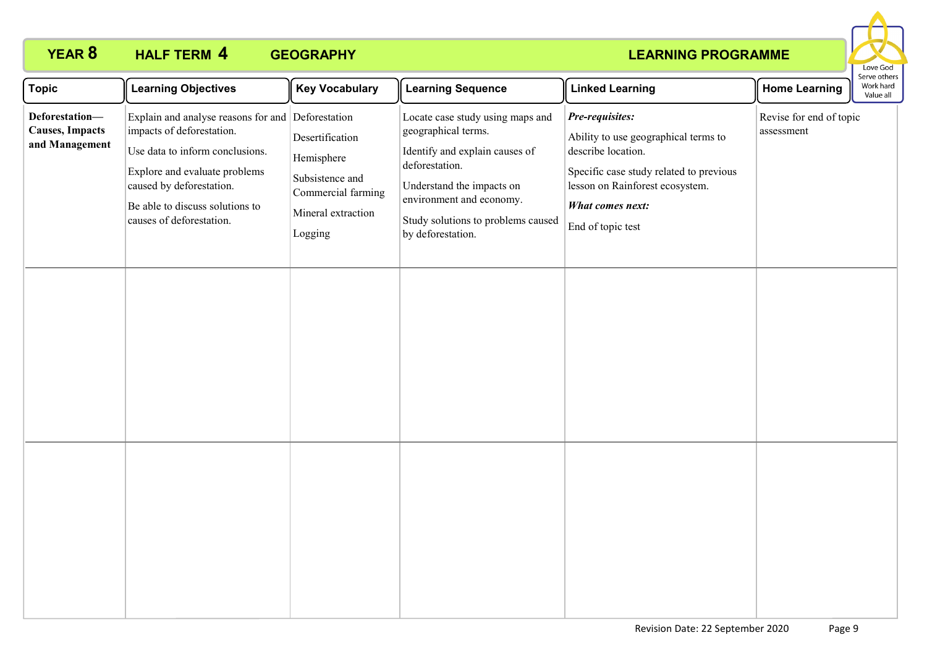

| Topic                                                       | <b>Learning Objectives</b>                                                                                                                                                                                                                    | <b>Key Vocabulary</b>                                                                                   | <b>Learning Sequence</b>                                                                                                                                                                                                        | <b>Linked Learning</b>                                                                                                                                                                               | <b>Home Learning</b>                  | Serve others<br>Work hard<br>Value all |
|-------------------------------------------------------------|-----------------------------------------------------------------------------------------------------------------------------------------------------------------------------------------------------------------------------------------------|---------------------------------------------------------------------------------------------------------|---------------------------------------------------------------------------------------------------------------------------------------------------------------------------------------------------------------------------------|------------------------------------------------------------------------------------------------------------------------------------------------------------------------------------------------------|---------------------------------------|----------------------------------------|
| Deforestation-<br><b>Causes</b> , Impacts<br>and Management | Explain and analyse reasons for and Deforestation<br>impacts of deforestation.<br>Use data to inform conclusions.<br>Explore and evaluate problems<br>caused by deforestation.<br>Be able to discuss solutions to<br>causes of deforestation. | Desertification<br>Hemisphere<br>Subsistence and<br>Commercial farming<br>Mineral extraction<br>Logging | Locate case study using maps and<br>geographical terms.<br>Identify and explain causes of<br>deforestation.<br>Understand the impacts on<br>environment and economy.<br>Study solutions to problems caused<br>by deforestation. | Pre-requisites:<br>Ability to use geographical terms to<br>describe location.<br>Specific case study related to previous<br>lesson on Rainforest ecosystem.<br>What comes next:<br>End of topic test | Revise for end of topic<br>assessment |                                        |
|                                                             |                                                                                                                                                                                                                                               |                                                                                                         |                                                                                                                                                                                                                                 |                                                                                                                                                                                                      |                                       |                                        |
|                                                             |                                                                                                                                                                                                                                               |                                                                                                         |                                                                                                                                                                                                                                 |                                                                                                                                                                                                      |                                       |                                        |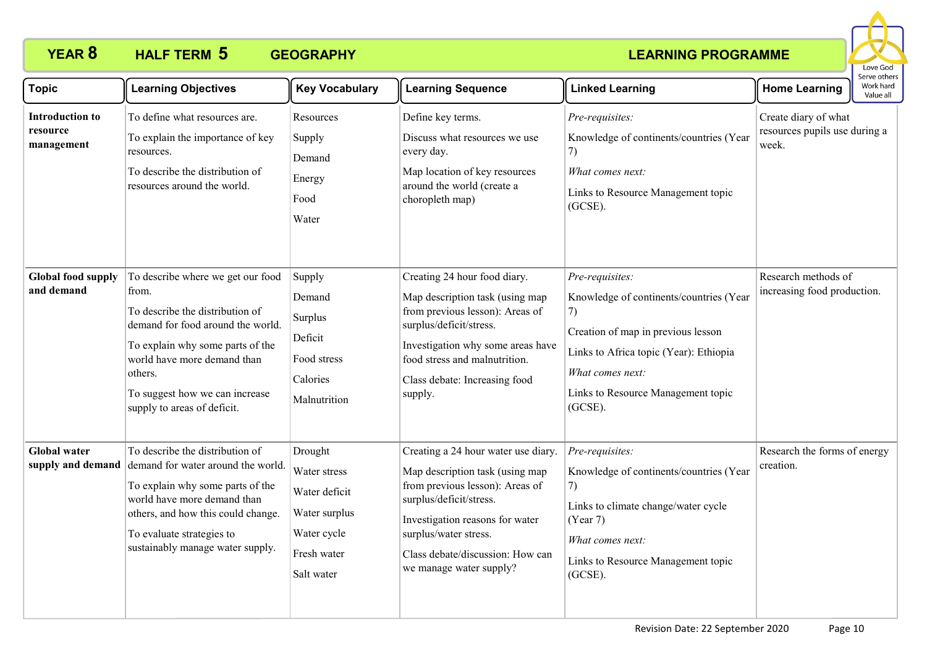

| <b>Topic</b>                              | <b>Learning Objectives</b>                                                                                                                                                                                                                                        | <b>Key Vocabulary</b>                                                                                 | <b>Learning Sequence</b>                                                                                                                                                                                                                                        | <b>Linked Learning</b>                                                                                                                                                                                                   | <b>Home Learning</b>                                           | Work hard<br>Value all |
|-------------------------------------------|-------------------------------------------------------------------------------------------------------------------------------------------------------------------------------------------------------------------------------------------------------------------|-------------------------------------------------------------------------------------------------------|-----------------------------------------------------------------------------------------------------------------------------------------------------------------------------------------------------------------------------------------------------------------|--------------------------------------------------------------------------------------------------------------------------------------------------------------------------------------------------------------------------|----------------------------------------------------------------|------------------------|
| Introduction to<br>resource<br>management | To define what resources are.<br>To explain the importance of key<br>resources.<br>To describe the distribution of<br>resources around the world.                                                                                                                 | Resources<br>Supply<br>Demand<br>Energy<br>Food<br>Water                                              | Define key terms.<br>Discuss what resources we use<br>every day.<br>Map location of key resources<br>around the world (create a<br>choropleth map)                                                                                                              | Pre-requisites:<br>Knowledge of continents/countries (Year<br>7)<br>What comes next:<br>Links to Resource Management topic<br>$(GCSE)$ .                                                                                 | Create diary of what<br>resources pupils use during a<br>week. |                        |
| <b>Global food supply</b><br>and demand   | To describe where we get our food<br>from.<br>To describe the distribution of<br>demand for food around the world.<br>To explain why some parts of the<br>world have more demand than<br>others.<br>To suggest how we can increase<br>supply to areas of deficit. | Supply<br>Demand<br>Surplus<br>Deficit<br>Food stress<br>Calories<br>Malnutrition                     | Creating 24 hour food diary.<br>Map description task (using map<br>from previous lesson): Areas of<br>surplus/deficit/stress.<br>Investigation why some areas have<br>food stress and malnutrition.<br>Class debate: Increasing food<br>supply.                 | Pre-requisites:<br>Knowledge of continents/countries (Year<br>7)<br>Creation of map in previous lesson<br>Links to Africa topic (Year): Ethiopia<br>What comes next:<br>Links to Resource Management topic<br>$(GCSE)$ . | Research methods of<br>increasing food production.             |                        |
| <b>Global water</b>                       | To describe the distribution of<br>supply and demand demand for water around the world.<br>To explain why some parts of the<br>world have more demand than<br>others, and how this could change.<br>To evaluate strategies to<br>sustainably manage water supply. | Drought<br>Water stress<br>Water deficit<br>Water surplus<br>Water cycle<br>Fresh water<br>Salt water | Creating a 24 hour water use diary.<br>Map description task (using map<br>from previous lesson): Areas of<br>surplus/deficit/stress.<br>Investigation reasons for water<br>surplus/water stress.<br>Class debate/discussion: How can<br>we manage water supply? | Pre-requisites:<br>Knowledge of continents/countries (Year<br>7)<br>Links to climate change/water cycle<br>(Year 7)<br>What comes next:<br>Links to Resource Management topic<br>(GCSE).                                 | Research the forms of energy<br>creation.                      |                        |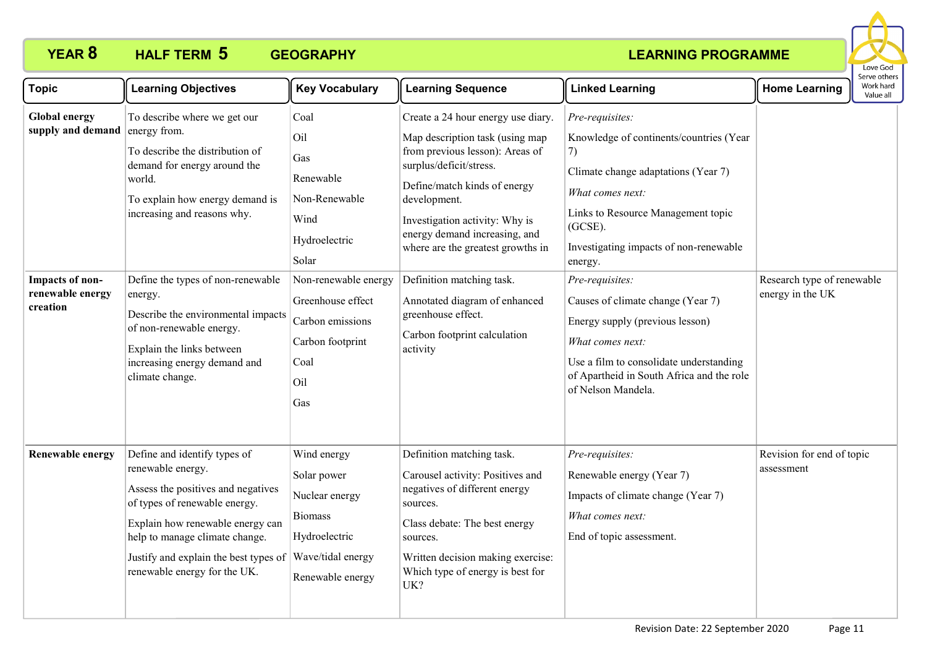

| <b>Topic</b>                                                                                 | <b>Learning Objectives</b>                                                                                                                                                                                                                                                                                                                                                                    | <b>Key Vocabulary</b>                                                                                                                                                                         | <b>Learning Sequence</b>                                                                                                                                                                                                                                                                                                                                                                                                    | <b>Linked Learning</b>                                                                                                                                                                                                                                                                                                                                                                                                                                             | <b>Home Learning</b>                           | Serve others<br>Work hard<br>Value all |  |
|----------------------------------------------------------------------------------------------|-----------------------------------------------------------------------------------------------------------------------------------------------------------------------------------------------------------------------------------------------------------------------------------------------------------------------------------------------------------------------------------------------|-----------------------------------------------------------------------------------------------------------------------------------------------------------------------------------------------|-----------------------------------------------------------------------------------------------------------------------------------------------------------------------------------------------------------------------------------------------------------------------------------------------------------------------------------------------------------------------------------------------------------------------------|--------------------------------------------------------------------------------------------------------------------------------------------------------------------------------------------------------------------------------------------------------------------------------------------------------------------------------------------------------------------------------------------------------------------------------------------------------------------|------------------------------------------------|----------------------------------------|--|
| <b>Global energy</b><br>supply and demand<br>Impacts of non-<br>renewable energy<br>creation | To describe where we get our<br>energy from.<br>To describe the distribution of<br>demand for energy around the<br>world.<br>To explain how energy demand is<br>increasing and reasons why.<br>Define the types of non-renewable<br>energy.<br>Describe the environmental impacts<br>of non-renewable energy.<br>Explain the links between<br>increasing energy demand and<br>climate change. | Coal<br>Oil<br>Gas<br>Renewable<br>Non-Renewable<br>Wind<br>Hydroelectric<br>Solar<br>Non-renewable energy<br>Greenhouse effect<br>Carbon emissions<br>Carbon footprint<br>Coal<br>Oil<br>Gas | Create a 24 hour energy use diary.<br>Map description task (using map<br>from previous lesson): Areas of<br>surplus/deficit/stress.<br>Define/match kinds of energy<br>development.<br>Investigation activity: Why is<br>energy demand increasing, and<br>where are the greatest growths in<br>Definition matching task.<br>Annotated diagram of enhanced<br>greenhouse effect.<br>Carbon footprint calculation<br>activity | Pre-requisites:<br>Knowledge of continents/countries (Year<br>(7)<br>Climate change adaptations (Year 7)<br>What comes next:<br>Links to Resource Management topic<br>$(GCSE)$ .<br>Investigating impacts of non-renewable<br>energy.<br>Pre-requisites:<br>Causes of climate change (Year 7)<br>Energy supply (previous lesson)<br>What comes next:<br>Use a film to consolidate understanding<br>of Apartheid in South Africa and the role<br>of Nelson Mandela. | Research type of renewable<br>energy in the UK |                                        |  |
| <b>Renewable energy</b>                                                                      | Define and identify types of<br>renewable energy.<br>Assess the positives and negatives<br>of types of renewable energy.<br>Explain how renewable energy can<br>help to manage climate change.<br>Justify and explain the best types of<br>renewable energy for the UK.                                                                                                                       | Wind energy<br>Solar power<br>Nuclear energy<br><b>Biomass</b><br>Hydroelectric<br>Wave/tidal energy<br>Renewable energy                                                                      | Definition matching task.<br>Carousel activity: Positives and<br>negatives of different energy<br>sources.<br>Class debate: The best energy<br>sources.<br>Written decision making exercise:<br>Which type of energy is best for<br>UK?                                                                                                                                                                                     | Pre-requisites:<br>Renewable energy (Year 7)<br>Impacts of climate change (Year 7)<br>What comes next:<br>End of topic assessment.                                                                                                                                                                                                                                                                                                                                 | Revision for end of topic<br>assessment        |                                        |  |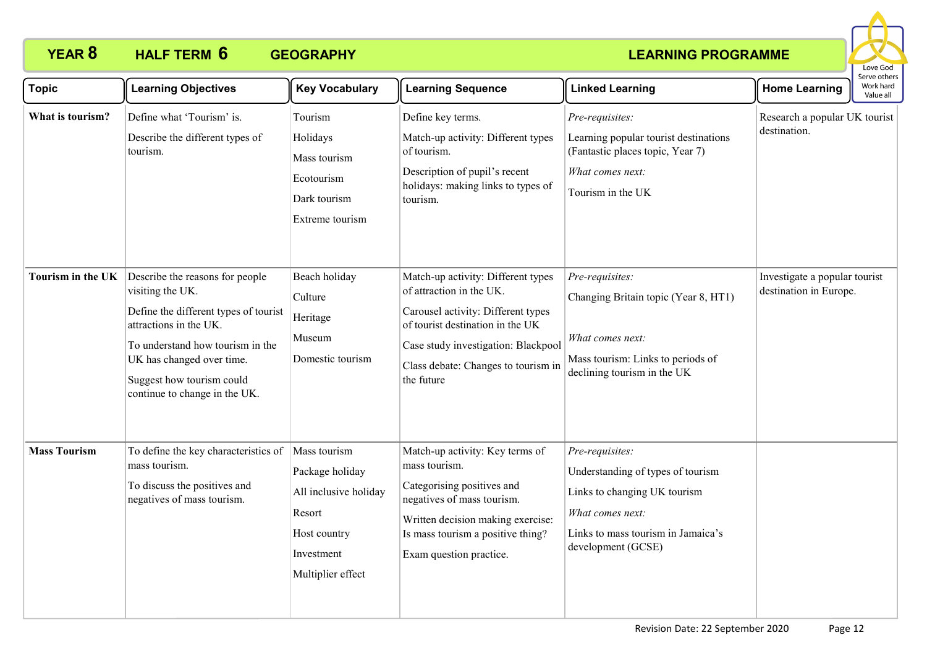

| <b>Topic</b>        | <b>Learning Objectives</b>                                                                                                                                                                                                                            | <b>Key Vocabulary</b>                                                                                                 | <b>Learning Sequence</b>                                                                                                                                                                                                             | <b>Linked Learning</b>                                                                                                                                               | <b>Home Learning</b>                                    | Serve others<br>Work hard<br>Value all |
|---------------------|-------------------------------------------------------------------------------------------------------------------------------------------------------------------------------------------------------------------------------------------------------|-----------------------------------------------------------------------------------------------------------------------|--------------------------------------------------------------------------------------------------------------------------------------------------------------------------------------------------------------------------------------|----------------------------------------------------------------------------------------------------------------------------------------------------------------------|---------------------------------------------------------|----------------------------------------|
| What is tourism?    | Define what 'Tourism' is.<br>Describe the different types of<br>tourism.                                                                                                                                                                              | Tourism<br>Holidays<br>Mass tourism<br>Ecotourism<br>Dark tourism<br>Extreme tourism                                  | Define key terms.<br>Match-up activity: Different types<br>of tourism.<br>Description of pupil's recent<br>holidays: making links to types of<br>tourism.                                                                            | Pre-requisites:<br>Learning popular tourist destinations<br>(Fantastic places topic, Year 7)<br>What comes next:<br>Tourism in the UK                                | Research a popular UK tourist<br>destination.           |                                        |
| Tourism in the UK   | Describe the reasons for people<br>visiting the UK.<br>Define the different types of tourist<br>attractions in the UK.<br>To understand how tourism in the<br>UK has changed over time.<br>Suggest how tourism could<br>continue to change in the UK. | Beach holiday<br>Culture<br>Heritage<br>Museum<br>Domestic tourism                                                    | Match-up activity: Different types<br>of attraction in the UK.<br>Carousel activity: Different types<br>of tourist destination in the UK<br>Case study investigation: Blackpool<br>Class debate: Changes to tourism in<br>the future | Pre-requisites:<br>Changing Britain topic (Year 8, HT1)<br>What comes next:<br>Mass tourism: Links to periods of<br>declining tourism in the UK                      | Investigate a popular tourist<br>destination in Europe. |                                        |
| <b>Mass Tourism</b> | To define the key characteristics of<br>mass tourism.<br>To discuss the positives and<br>negatives of mass tourism.                                                                                                                                   | Mass tourism<br>Package holiday<br>All inclusive holiday<br>Resort<br>Host country<br>Investment<br>Multiplier effect | Match-up activity: Key terms of<br>mass tourism.<br>Categorising positives and<br>negatives of mass tourism.<br>Written decision making exercise:<br>Is mass tourism a positive thing?<br>Exam question practice.                    | Pre-requisites:<br>Understanding of types of tourism<br>Links to changing UK tourism<br>What comes next:<br>Links to mass tourism in Jamaica's<br>development (GCSE) |                                                         |                                        |